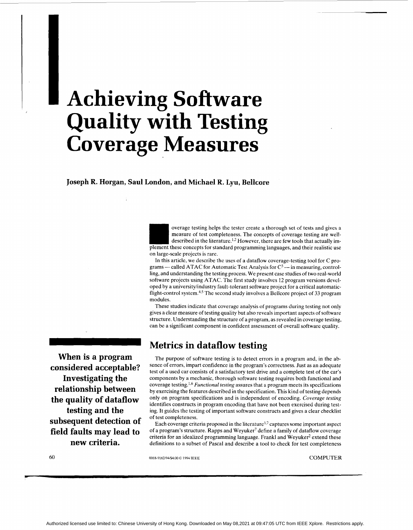# <span id="page-0-0"></span><sup>~</sup>**Achieving Software Quality with Testing Coverage Measures**

**Joseph R. Horgan, Saul London, and Michael R. Lyu, Bellcore** 

overage testing helps the tester create a thorough set of tests and gives a measure of test completeness. The concepts of coverage testing are welldescribed in the literature.<sup>1,2</sup> However, there are few tools that actually implement these concepts for standard programming languages, and their realistic use on large-scale projects is rare.

In this article, we describe the uses of a dataflow coverage-testing tool for C proon large-scale projects is rare.<br>In this article, we describe the uses of a dataflow coverage-testing tool for C pro-<br>grams — called ATAC for Automatic Test Analysis for  $C^3$  — in measuring, controlling, and understanding the testing process. We present case studies of two real-world software projects using ATAC. The first study involves 12 program versions developed by a universityhdustry fault-tolerant software project for a critical automaticflight-control system.<sup>4,5</sup> The second study involves a Bellcore project of 33 program modules.

These studies indicate that coverage analysis of programs during testing not only gives a clear measure of testing quality but also reveals important aspects of software structure. Understanding the structure of a program, as revealed in coverage testing, can be a significant component in confident assessment of overall software quality.

### **Metrics in dataflow testing**

**When is a program considered acceptable? Investigating the relationship between the quality of dataflow testing and the subsequent detection of field faults may lead to new criteria.** 

The purpose of software testing is to detect errors in a program and, in the absence of errors, impart confidence in the program's correctness. Just as an adequate test of a used car consists of a satisfactory test drive and a complete test of the car's components by a mechanic, thorough software testing requires both functional and coverage *Functional testing* assures that a program meets its specifications by exercising the features described in the specification. This kind of testing depends only on program specifications and is independent of encoding. *Coverage testing*  identifies constructs in program encoding that have not been exercised during testing. It guides the testing of important software constructs and gives a clear checklist of test completeness.

Each coverage criteria proposed in the literature<sup>1,7</sup> captures some important aspect of a program's structure. Rapps and Weyuker' define a family of dataflow coverage criteria for an idealized programming language. Frankl and Weyuker<sup>2</sup> extend these definitions to a subset of Pascal and describe a tool to check for test completeness

*60* 

0018-9162/94/\$4.00 © 1994 IEEE COMPUTER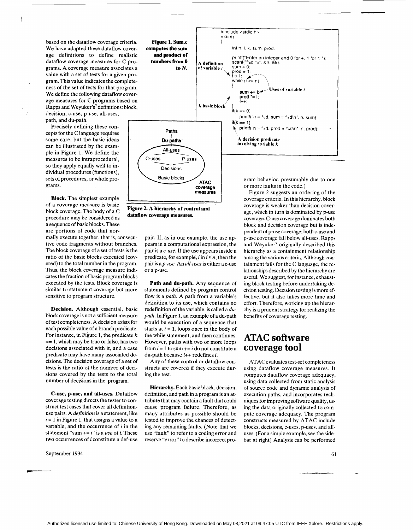based on the dataflow coverage criteria. We have adapted these dataflow coverage definitions to define realistic dataflow coverage measures for C programs. **A** coverage measure associates a value with a set of tests for a given program. This value indicates the completeness of the set of tests for that program. We define the following dataflow coverage measures for C programs based on Rapps and Weyuker's<sup>7</sup> definitions: block, *<sup>I</sup>*decision, c-use, p-use, all-uses, path, and du-path.

 $\overline{1}$ 

Precisely defining these concepts for the C language requires some care, but the basic ideas can be illustrated by the example in Figure 1. We define the measures to be intraprocedural, so they apply equally well to individual procedures (functions), sets of procedures, or whole programs.

**Block.** The simplest example of a coverage measure is basic block coverage. The body of a C procedure may be considered as a sequence of basic blocks. These are portions of code that normally execute together, that is, consecutive code fragments without branches. The block coverage of a set of tests is the ratio of the basic blocks executed (covered) to the total number in the program. Thus, the block coverage measure indicates the fraction of basic program blocks executed by the tests. Block coverage is similar to statement coverage but more sensitive to program structure. **1 I Figure 2. A hierarchy of control and dataflow coverage measures.** 

**Decision.** Although essential, basic block coverage is not a sufficient measure of test completeness. A decision exists for each possible value of a branch predicate. For instance, in Figure 1, the predicate *<sup>k</sup>*  $== 1$ , which may be true or false, has two decisions associated with it, and a case predicate may have many associated decisions. The decision coverage of a set of tests is the ratio of the number of decisions covered by the tests to the total number of decisions in the program.

**C-use, p-use, and all-uses.** Dataflow coverage testing directs the tester to construct test cases that cover all definitionuse pairs. A definition is a statement, like  $i = 1$  in Figure 1, that assigns a value to a variable, and the occurrence of  $i$  in the statement "sum  $+= i$ " is a use of *i*. These two occurrences of i constitute a def-use

September 1994 61



**coverage meesures** 

**ATAC** 

 $\frac{m}{2}$ 

**Basic blocks** 

pair. If, as in our example, the use appears in a computational expression, the pair is a c-use. If the use appears inside a predicate, for example,  $i$  in  $i \leq n$ , then the pair is a *p-use*. An all-uses is either a c-use

**Path and du-path.** Any sequence of statements defined by program control flow is a path. A path from a variable's definition to its use, which contains no redefinition of the variable, is called a dupath. In Figure 1, an example of a du-path would be execution of a sequence that starts at  $i = 1$ , loops once in the body of the while statement, and then continues. However, paths with two or more loops from  $i = 1$  to sum  $+= i$  do not constitute a du-path because *i++* redefines *i.* 

Any of these control or dataflow constructs are covered if they execute dur-

**Hierarchy.** Each basic block, decision, definition, and path in a program is an attribute that may contain a fault that could cause program failure. Therefore, as many attributes as possible should be tested to improve the chances of detecting any remaining faults. (Note that we use "fault" to refer to a coding error and reserve "error" to describe incorrect pro-

or a p-use.

ing the test.

gram behavior, presumably due to one or more faults in the code.)

Figure 2 suggests an ordering of the coverage criteria. In this hierarchy, block coverage is weaker than decision coverage, which in turn is dominated by p-use coverage. C-use coverage dominates both block and decision coverage but is independent of p-use coverage; both c-use and p-use coverage fall below all-uses. Rapps and Weyuker' originally described this hierarchy as a containment relationship among the various criteria. Although containment fails for the C language, the relationships described by the hierarchy are useful. We suggest, for instance, exhausting block testing before undertaking decision testing. Decision testing is more effective, but it also takes more time and effort. Therefore, working up the hierarchy is a prudent strategy for realizing the benefits of coverage testing.

#### **ATAC software coverage tool**

ATAC evaluates test-set completeness using dataflow coverage measures. It computes dataflow coverage adequacy, using data collected from static analysis of source code and dynamic analysis of execution paths, and incorporates techniques for improving software quality, using the data originally collected to compute coverage adequacy. The program constructs measured by ATAC include blocks, decisions, c-uses, p-uses, and alluses. (For a simple example, see the sidebar at right) Analysis can be performed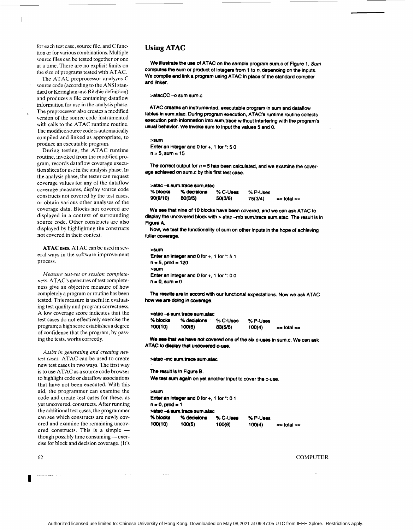for each test case, source file, and C function or for various combinations. Multiple source files can be tested together or one at a time. There are no explicit limits on the size of programs tested with ATAC.

'

 $\overline{\phantom{a}}$ 

 $\frac{1}{\sqrt{2}}$ 

The ATAC preprocessor analyzes C source code (according to the ANSI standard or Kernighan and Ritchie definition) and produces a file containing dataflow information for use in the analysis phase. The preprocessor also creates a modified version of the source code instrumented with calls to the ATAC runtime routine. The modified source code is automatically compiled and linked as appropriate, to produce an executable program.

During testing, the ATAC runtime routine, invoked from the modified program, records dataflow coverage execution slices for use in the analysis phase. In the analysis phase, the tester can request coverage values for any of the dataflow coverage measures, display source code constructs not covered by the test cases, or obtain various other analyses of the coverage data. Blocks not covered are displayed in a context of surrounding source code. Other constructs are also displayed by highlighting the constructs not covered in their context.

**ATAC** uses. ATAC can be used in severa1 ways in the software improvement process.

*Measure test-set or session completeness.* ATAC's measures of test completeness give an objective measure of how completely a program or routine has been tested. This measure is useful in evaluating test quality and program correctness. A low coverage score indicates that the test cases do not effectively exercise the program; a high score establishes a degree of confidence that the program, by passing the tests, works correctly.

*Assist in generating and creating new test cases.* ATAC can be used to create new test cases in two ways. The first way is to use ATAC as a source code browser to highlight code or dataflow associations that have not been executed. With this aid, the programmer can examine the code and create test cases for these, as yet uncovered, constructs. After running the additional test cases, the programmer can see which constructs are newly covered and examine the remaining uncovcan see which constructs are newly covered and examine the remaining uncovered constructs. This is a simple the ered and examine the remaining uncover-<br>though possibly time consuming - exer-<br>though possibly time consuming - exercise for block and decision coverage. (It's

 $\Delta \sim 10^{10}$  km s  $^{-1}$ 

 $\sim$  . . .

**I** 

#### **Using ATAC**

We illustrate the use of ATAC on the sample program sum.c of Figure 1. Sum computes the sum or product of integers from 1 to  $n$ , depending on the inputs. We compile and link a program using ATAC in place of the standard compiler and Ilnker.

>atacCC -- o sum sum.c

ATAC creates an instrumented, executable program in **sum** and dataflow tables in sum.atac. During program execution, ATAC's runtime routine collects execution path information into sum.trace without interfering with the program's usual behavior. We invoke sum to Input the values 5 and 0.

```
>sum 
Enter an integer and 0 for +, 1 for *: 5 0 
n = 5, sum = 15
```
The correct output for  $n = 5$  has been calculated, and we examine the coverage achleved on 8um.c by **this** first test case.

| >atac --s sum trace sum atac |             |          |          |                 |  |  |  |  |  |  |  |
|------------------------------|-------------|----------|----------|-----------------|--|--|--|--|--|--|--|
| % blocks                     | % decisions | % C-Uses | % P-Uses |                 |  |  |  |  |  |  |  |
| 90(9/10)                     | 80(3/5)     | 50(3/6)  | 75(3/4)  | $==$ total $==$ |  |  |  |  |  |  |  |

We **see** that nlne of 10 blocks have been covered, and we can ask ATAC to display the uncovered block with > atac -mb sum.trace sum.atac. The result is in Figure A.

Now, we test the functionality of sum on other inputs in the hope of achieving fuller Coverage.

```
>sum 
Enter an integer and 0 for +, 1 for *: 51n = 5, prod = 120
>sum 
Enter an integer and 0 for +, 1 for *: 0 0 
n=0, sum = 0
```
The results are in accord with our functional expectations. Now we ask ATAC how we am **dotng in** coverage.

| >atac -s sum trace sum atac |                       |                     |                    |               |  |  |  |  |  |  |
|-----------------------------|-----------------------|---------------------|--------------------|---------------|--|--|--|--|--|--|
| % blocks<br>100(10)         | % decisions<br>100(5) | % C-Uses<br>83(5/6) | % P-Uses<br>100(4) | $=$ total $=$ |  |  |  |  |  |  |
|                             |                       |                     |                    |               |  |  |  |  |  |  |

We see that we have not covered one of the six c-uses in sum.c. We can ask ATAC to display that uncovered c-use.

**>am** -mc **wrn.tmca** rum.atac

The result Is In **Flgure B.**  We test sum again on yet another input to cover the c-use.

```
zswn 
Enter an integer and 0 for +, 1 for *: 0 1 
n=0, prod = 1
~t8c -6 uun.trrcd 8um.atac 
          % decisions % C-Uses % P-Uses
Process 100(5) 100(6) 100(4) == total ==
```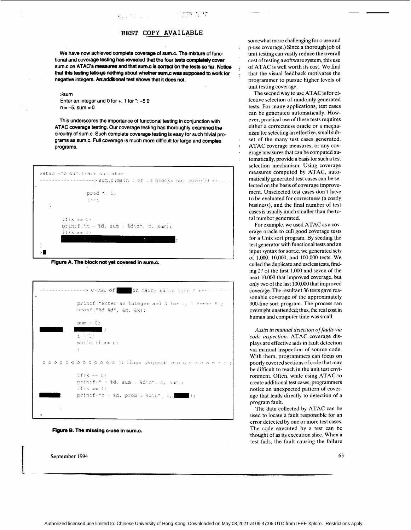#### **BEST COPY AVAILABLE**

 $\mathcal{F}^{\text{max}}_{\text{max}}$  ,  $\mathcal{F}^{\text{max}}_{\text{max}}$ 

**We have now achieved complete** coverage **of sums.** The **mixture of functional and coverage** testing **has** revded that the **four** tests completely **carer**   $sum.c$  on **ATAC's measures and that sum.c is correct on the tests so far. Noticethat this testing tells us nothing about whether sum.c was supposed to work for negative integers. A&.additional** test **shows that** it **does not.** 

국가 이번에 가서 가게 되었다.

#### **>sum**

**Enter an integer and 0 for** +, **1 for** \*: **-5 0**   $n = -5$ , sum  $= 0$ 

**This underscores the importance of functional testing in conjunction with ATAC coverage testing. Our coverage testing has thoroughly examined the circuitry of sum.c. Such complete coverage testing is easy for such trivial programs as sum.c. Full coverage is much more difficult for large and complex programs.** 





|    | $E(k == 0)$                                                                                                                                                                            |
|----|----------------------------------------------------------------------------------------------------------------------------------------------------------------------------------------|
|    | printf(" $n = 8d$ , sum = $8d\ln$ ", n, sum);                                                                                                                                          |
|    | $if (k == 1)$<br>$\sim$<br>$\mathcal{L}_{\mathcal{A}}$ and $\mathcal{L}_{\mathcal{A}}$ and $\mathcal{L}_{\mathcal{A}}$ and $\mathcal{L}_{\mathcal{A}}$ and $\mathcal{L}_{\mathcal{A}}$ |
| Ł  |                                                                                                                                                                                        |
| >∎ |                                                                                                                                                                                        |
|    | Figure A. The block not yet covered in sum.c.                                                                                                                                          |
|    |                                                                                                                                                                                        |
|    |                                                                                                                                                                                        |
|    | $\rightarrow$ C-USE of $\parallel$ : in main; sum.c line 7 <---                                                                                                                        |
|    | printf("Enter an integer and 0 for +, 1 for*: ");                                                                                                                                      |
|    | scanf("%d %d", &n, &k);                                                                                                                                                                |
|    | $sum = 0;$                                                                                                                                                                             |
|    | $\mathcal{L} = \mathcal{L}$                                                                                                                                                            |
|    | $i = 1$ :                                                                                                                                                                              |
|    | while $(i \le n)$<br>€                                                                                                                                                                 |
|    |                                                                                                                                                                                        |
|    | рроороорооро (4-lines skipped) оророорорс                                                                                                                                              |
|    | $if (k == 0)$                                                                                                                                                                          |
|    | printf(" = %d, sum = %d\n", n, sum);                                                                                                                                                   |
|    | $E(X == 1)$                                                                                                                                                                            |
|    |                                                                                                                                                                                        |
|    | printf("n = %d, prod = %d\n", n, $\frac{1}{2}$                                                                                                                                         |

Figure *8.* The **missing c-use in sum.c.** 

September 1994

**L** 

somewhat more challenging for c-use and p-use coverage.) Since a thorough job of unit testing can vastly reduce the overall cost of testing a software system, this use of ATAC is well worth its cost. We find that the visual feedback motivates the programmer to pursue higher levels of unit testing coverage.

The second way to use ATAC is for effective selection of randomly generated tests. For many applications, test cases can be generated automatically. However, practical use of these tests requires either a correctness oracle or a mechanism for selecting an effective, small subset of the many test cases generated. ATAC coverage measures, or any coverage measures that can be computed automatically, provide a basis for such **a** test selection mechanism. Using coverage measures computed by ATAC, automatically generated test cases can be selected on the basis of coverage improvement. Unselected test cases don't have to be evaluated for correctness (a costly business), and the final number of test cases is usually much smaller than the total number generated.

For example, we used ATAC as a coverage oracle to cull good coverage tests for a Unix sort program. By seeding the test generator with functional tests and an input syntax for sort.c, we generated sets of 1.O00, 10,000, and 100,000 tests. We culled the duplicate and useless tests, finding 27 of the first 1,O00 and seven of the next 10,OOO that improved coverage, but only two of the last 100,OOO that improved coverage. The resultant 36 tests gave reasonable coverage of the approximately 900-line sort program. The process ran ovemight unattended; thus, the real cost in human and computer time was small.

*Assist in manual detection of faults via code inspection.* ATAC coverage displays are effective aids in fault detection via manual inspection of source code. With them, programmers can focus on poorly covered sections of code that may be difficult to reach in the unit test environment. Often, while using ATAC to create additional test cases, programmers notice an unexpected pattern of coverage that leads directly to detection of a program fault.

The data collected by ATAC can be used to locate a fault responsible for an error detected by one or more test cases. The code executed by a test can be thought of as its execution slice. When a test fails, the fault causing the failure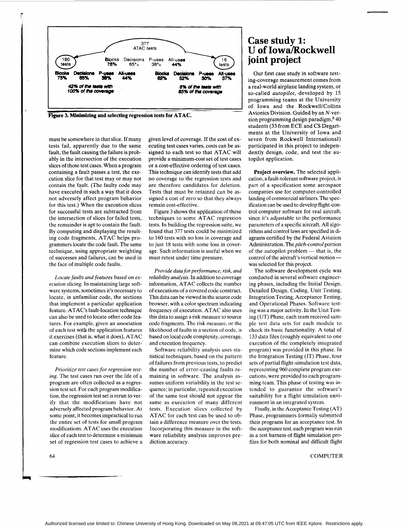

must be somewhere in that slice. If many tests fail, apparently due to the same fault, the fault causing the failure is probably in the intersection of the execution slices of those test cases. When a program containing a fault passes a test, the execution slice for that test may or may not contain the fault. (The faulty code may have executed in such a way that it does not adversely affect program behavior for this test.) When the execution slices for successful tests are subtracted from the intersection of slices for failed tests, the remainder is apt to contain the fault. By computing and displaying the resulting code fragments, ATAC helps programmers locate the code fault. The same technique, using appropriate weighting of successes and failures, can be used in the face of multiple code faults.

*Locate faults and features based on execution slicing.* In maintaining large software systems, sometimes it's necessary to locate, in unfamiliar code, the sections that implement a particular application feature. ATAC's fault-location technique can also be used to locate other code features. For example, given an association of each test with the application features it exercises (that is, what it does), ATAC can combine execution slices to determine which code sections implement each feature.

*Prioritize test cases for regression testing.* The test cases run over the life of a program are often collected as a regression test set. For each program modification, the regression test set is rerun to verify that the modifications have not adversely affected program behavior. At some point, it becomes impractical to run the entire set of tests for small program modifications. ATAC uses the execution slice of each test to determine a minimum set of regression test cases to achieve a given level of coverage. If the cost of executing test cases varies, costs can be assigned to each test so that ATAC will provide a minimum-cost set of test cases or a cost-effective ordering of test cases. This technique can identify tests that add no coverage to the regression tests and are therefore candidates for deletion. Tests that must be retained can be assigned a cost of zero so that they always remain cost-effective.

Figure 3 shows the application of these techniques to some ATAC regression tests. In building the regression suite, we found that **377** tests could be minimized to 160 tests with no loss in coverage and to just 18 tests with some loss in coverage. Such information is useful when we must retest under time pressure.

*Provide data for performance, risk, and reliability analysis.* In addition to coverage information, ATAC collects the number of executions of a covered code construct. This data can be viewed in the source code browser, with a color spectrum indicating frequency of execution. ATAC also uses this data to assign a risk measure to source code fragments. The risk measure, or the likelihood of faults in a section of code, is based on local code complexity, coverage, and execution frequency.

Software reliability analysis uses statistical techniques, based on the pattern of failures from previous tests, to predict the number of error-causing faults remaining in software. The analysis assumes uniform variability in the test sequence; in particular, repeated execution of the same test should not appear the same as execution of many different tests. Execution slices collected by ATAC for each test can be used to obtain a difference measure over the tests. Incorporating this measure in the software reliability analysis improves prediction accuracy.

#### **Case study 1: U of Iowa/Rockwell joint project**

Our first case study in software testing-coverage measurement comes from a real-world airplane landing system, or so-called *autopilot,* developed by 15 programming teams at the University of Iowa and the Rockwell/Collins Avionics Division. Guided by an N-version programming design paradigm,<sup>8</sup> 40 students (33 from ECE and CS Departments at the University of Iowa and seven from Rockwell International) participated in this project to independently design, code, and test the autopilot application.

**Project overview.** The selected application, a fault-tolerant software project, is part of a specification some aerospace companies use for computer-controlled landing of commercial airliners. The specification can be used to develop flight-control computer software for real aircraft, since it's adjustable to the performance parameters of a specific aircraft. All algorithms and control laws are specified in diagrams certified by the Federal Aviation Administration. The *pitch-control* portion agrams certified by the Federal Aviation<br>Administration. The *pitch-control* portion<br>of the autopilot problem — that is, the Administration. The *puch-control* portion<br>of the autopilot problem — that is, the<br>control of the aircraft's vertical motion was selected for this project.

The software development cycle was conducted in several software engineering phases, including the Initial Design, Detailed Design, Coding, Unit Testing, Integration Testing, Acceptance Testing, and Operational Phases. Software testing was a major activity. In the Unit Testing (UT) Phase, each team received sample test data sets for each module to check its basic functionality. A total of 133 data files (roughly equivalent to one execution of the completely integrated program) was provided in this phase. In the Integration Testing (IT) Phase, four sets of partial flight-simulation test data, representing 960 complete program executions, were provided to each programming team. This phase of testing was intended to guarantee the software's suitability for a flight simulation environment in an integrated system.

Finally, in the Acceptance Testing (AT) Phase, programmers formally submitted their programs for an acceptance test. In the acceptance test, each program was run in a test harness of flight simulation profiles for both nominal and difficult flight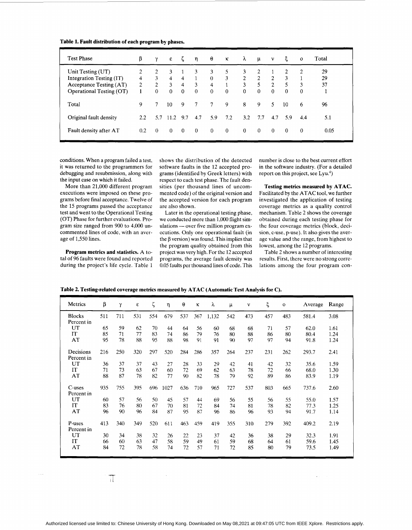| Table 1. Fault distribution of each program by phases. |  |  |  |  |
|--------------------------------------------------------|--|--|--|--|
|--------------------------------------------------------|--|--|--|--|

| <b>Test Phase</b>        | β              | Υ              | ε              |                | $\eta$          | $\theta$        | $\kappa$       | $\lambda$      | $\mu$          | $\mathbf{v}$   | ξ        | $\Omega$ | Total |
|--------------------------|----------------|----------------|----------------|----------------|-----------------|-----------------|----------------|----------------|----------------|----------------|----------|----------|-------|
| Unit Testing (UT)        | 2              | $\overline{c}$ | 3              |                | 3               | 3               | 5              | 3              | 2              |                | 2        | 2        | 29    |
| Integration Testing (IT) | 4              | 3              | $\overline{4}$ | 4              |                 | $\overline{0}$  | 3              | $\overline{2}$ | $\overline{2}$ | 2              | 3        |          | 29    |
| Acceptance Testing (AT)  | $\overline{2}$ | $\overline{2}$ | $\mathbf{3}$   | $\overline{4}$ | 3               | $\overline{4}$  |                | 3              | 5              | $\overline{2}$ | 5        | 3        | 37    |
| Operational Testing (OT) |                | $\overline{0}$ | $\mathbf{0}$   | $\Omega$       | $\theta$        | $\mathbf{0}$    | $\overline{0}$ | $\theta$       | $\mathbf{0}$   | $\mathbf{0}$   | $\theta$ | $\Omega$ |       |
| Total                    | 9              |                | 10             | 9              | $7\overline{ }$ | $7\phantom{.0}$ | 9              | 8              | 9              | 5.             | 10       | 6        | 96    |
| Original fault density   | 2.2            | 5.7            | 11.2           | 9.7            | 4.7             | 5.9             | 7.2            | 3.2            | 7.7            | 4.7            | 5.9      | 44       | 5.1   |
| Fault density after AT   | 0.2            | $\Omega$       | $\theta$       | $\Omega$       | $\overline{0}$  | $\theta$        | $\overline{0}$ | $\bf{0}$       | $\bf{0}$       | $\overline{0}$ | $\Omega$ | $\theta$ | 0.05  |

conditions. When a program failed a test, it was returned to the programmers for debugging and resubmission, along with the input case on which it failed.

More than 21,000 different program executions were imposed on these programs before final acceptance. Twelve of the 15 programs passed the acceptance test and went to the Operational Testing (OT) Phase for further evaluations. Program size ranged from 900 to 4,000 uncommented lines of code, with an average of 1,550 lines.

**Program metrics and statistics.** A total of 96 faults were found and reported during the project's life cycle. Table 1

shows the distribution of the detected software faults in the 12 accepted programs (identified by Greek letters) with respect to each test phase. The fault densities (per thousand lines of uncommented code) of the original version and the accepted version for each program are also shown.

Later in the operational testing phase, Later in the operational testing phase,<br>we conducted more than 1,000 flight sim-<br>ulations — over five million program executions. Only one operational fault (in the  $\beta$  version) was found. This implies that the program quality obtained from this project was very high. For the 12 accepted programs, the average fault density was 0.05 faults per thousand lines of code. This

number is close to the best current effort in the software industry. (For a detailed report on this project, see  $Lyu.<sup>4</sup>$ )

**Testing metrics measured by ATAC.**  Facilitated by the ATAC tool, we further investigated the application of testing coverage metrics as a quality control mechanism. Table 2 shows the coverage obtained during each testing phase for the four coverage metrics (block, decision, c-use, p-use). It also gives the average value and the range, from highest to lowest, among the 12 programs.

Table 2 shows a number of interesting results. First, there were no strong correlations among the four program con-

| Table 2. Testing-related coverage metrics measured by ATAC (Automatic Test Analysis for C). |     |     |     |     |      |     |     |       |       |              |     |             |         |       |
|---------------------------------------------------------------------------------------------|-----|-----|-----|-----|------|-----|-----|-------|-------|--------------|-----|-------------|---------|-------|
| Metrics                                                                                     | β   | γ   | ε   | ζ   | η    | θ   | κ   | λ     | $\mu$ | $\mathbf{v}$ | ξ   | $\mathbf 0$ | Average | Range |
| <b>Blocks</b><br>Percent in                                                                 | 511 | 711 | 531 | 554 | 679  | 537 | 367 | 1,132 | 542   | 473          | 457 | 483         | 581.4   | 3.08  |
| UT                                                                                          | 65  | 59  | 62  | 70  | 44   | 64  | 56  | 60    | 68    | 68           | 71  | 57          | 62.0    | 1.61  |
| IT                                                                                          | 85  | 71  | 77  | 83  | 74   | 86  | 79  | 76    | 80    | 88           | 86  | 80          | 80.4    | 1.24  |
| AT                                                                                          | 95  | 78  | 88  | 95  | 88   | 98  | 91  | 91    | 90    | 97           | 97  | 94          | 91.8    | 1.24  |
|                                                                                             |     |     |     |     |      |     |     |       |       |              |     |             |         |       |
| Decisions                                                                                   | 216 | 250 | 320 | 297 | 520  | 284 | 286 | 357   | 264   | 237          | 231 | 262         | 293.7   | 2.41  |
| Percent in                                                                                  |     |     |     |     |      |     |     |       |       |              |     |             |         |       |
| UT                                                                                          | 36  | 37  | 37  | 43  | 27   | 28  | 33  | 29    | 42    | 41           | 42  | 32          | 35.6    | 1.59  |
| IT                                                                                          | 71  | 73  | 63  | 67  | 60   | 72  | 69  | 62    | 63    | 78           | 72  | 66          | 68.0    | 1.30  |
| AT                                                                                          | 88  | 87  | 78  | 82  | 77   | 90  | 82  | 78    | 79    | 92           | 89  | 86          | 83.9    | 1.19  |
| C-uses                                                                                      | 935 | 755 | 395 | 696 | 1027 | 636 | 710 | 965   | 727   | 537          | 803 | 665         | 737.6   | 2.60  |
| Percent in                                                                                  |     |     |     |     |      |     |     |       |       |              |     |             |         |       |
| UT                                                                                          | 60  | 57  | 56  | 50  | 45   | 57  | 44  | 69    | 56    | 55           | 56  | 55          | 55.0    | 1.57  |
| IT                                                                                          | 83  | 76  | 80  | 67  | 70   | 81  | 72  | 84    | 74    | 81           | 78  | 82          | 77.3    | 1.25  |
| AT                                                                                          | 96  | 90  | 96  | 84  | 87   | 95  | 87  | 96    | 86    | 96           | 93  | 94          | 91.7    | 1.14  |
| P-uses<br>Percent in                                                                        | 413 | 340 | 349 | 520 | 611  | 463 | 459 | 419   | 355   | 310          | 279 | 392         | 409.2   | 2.19  |
| UT                                                                                          | 30  | 34  | 38  | 32  | 26   | 22  | 23  | 37    | 42    | 36           | 38  | 29          | 32.3    | 1.91  |
| <b>IT</b>                                                                                   | 66  | 60  | 63  | 47  | 58   | 59  | 49  | 61    | 59    | 68           | 64  | 61          | 59.6    | 1.45  |

[63 47 58 59 49 61 59](#page-0-0)  78 *58* 74 72 57 71 72

П

66 60 72

AT

68 85 64 80 61 79 59.6 73.5 1.45 1.49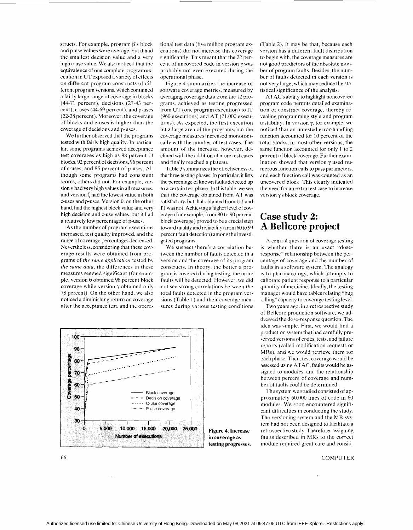structs. For example, program  $\beta$ 's block and p-use values were average. but it had the smallest decision value and a very high c-use value. We also noticed that the equivalence of one complete program execution in UT exposed a variety of effects on different program constructs of different program versions. which contained a fairly large range of coverage in blocks (44-71 percent), decisions (27-43 percent), c-uses (44-69 percent). and p-uses (22-38 percent). Moreover, the coverage of blocks and c-uses is higher than the coverage of decisions and p-uses.

We further observed that the programs tested with fairly high quality. In particular, some programs achieved acceptance test coverages as high as 98 percent of **blocks,** 92 percent of decisions. 96 percent of c-uses, and 85 percent of p-uses. **Al**though some programs had consistent scores, others did not. For example. version v had very high values in all measures. and version  $\zeta$  had the lowest value in both c-uses and p-uses. Version *8.* on the other hand, had the highest block value and very high decision and c-use values, but it had a relatively low percentage of p-uses.

As the number of program executions increased, test quality improved. and the range of coverage percentages decreased. Nevertheless, considering that these coverage results were obtained from programs of *the same application* tested by *the same data.* the differences in these measures seemed significant (for example, version θ obtained 98 percent block coverage while version y obtained only 78 percent). On the other hand. we also noticed a diminishing return on coverage after the acceptance test. and the operational test data (five million program executions) did not increase this coverage significantly. This meant that the 22 percent of uncovered code in version y was probably not even executed during the operational phase.

Figure 4 summarizes the increase of software coverage metrics. measured by averaging coverage data from the 12 programs. achieved as testing progressed from UT (one program execution) to IT (960 executions) and AT (21.000 executions). As expected, the first execution hit a large area of the programs, but the coverage measures increased monotonically with the number of test cases. The amount of the increase. however. declined with the addition of more test cases and finally reached a plateau.

[Table 3](#page-7-0) summarizes the effectiveness of the three testing phases. In particular. it lists the percentage of known faults detected up to a certain test phase. In this table. we see that the coverage obtained from AT was satisfactory. but that obtained from UT and IT was not. Achieving a higher level of coverage (for example. from 80 to 90 percent block coverage) proved to be a crucial step toward quality and reliability (from *60* to 99 percent fault detection) among the investigated programs.

We suspect there's a correlation between the number of faults detected in a version and the coverage of its program constructs. In theory. the better a program is covered during testing. the more faults will be detected. However. we did not see strong correlations between the total faults detected in the program versions (Table 1) and their coverage measures during various testing conditions



(Table 2). It may be that, because each version has a different fault distribution to begin with, the coverage measures are not good predictors of the absolute number of program faults. Besides, the number of faults detected in each version is not very large, which may reduce the statistical significance of the analysis.

ATAC's ability to highlight noncovered program code permits detailed examination of construct coverage, thereby revealing programming style and program testability. In version  $\gamma$ , for example, we noticed that an untested error-handling function accounted for 10 percent of the total blocks; in most other versions, the same function accounted for only 1 to 2 percent of block coverage. Further examination showed that version y used numerous function calls to pass parameters, and each function call was counted as an uncovered block. This clearly indicated the need for an extra test case to increase version y's block coverage.

### **Case study 2: A Bellcore project**

A central question of coverage testing is whether there is an exact "doseresponse'' relationship between the percentage of coverage and the number of faults in a software system. The analogy is to pharmacology, which attempts to calibrate patient response to a particular quantity of medicine. Ideally, the testing manager would have tables relating "bug killing" capacity to coverage testing level.

Two years ago. in a retrospective study of Bellcore production software, we addressed the dose-response question. The idea was simple. First. we would find a production system that had carefully preserved versions of codes, tests, and failure reports (called modification requests or MRs). and we would retrieve them for each phase. Then. test coverage would be assessed using ATAC, faults would be assigned to modules. and the relationship between percent of coverage and number of faults could be determined.

The system we studied consisted of approximately 60.000 lines of code in 60 modules. We soon encountered significant difficulties in conducting the study. The versioning system and the MR system had not been designed to facilitate a retrospective study. Therefore, assigning faults described in MRs to the correct module required great care and consid-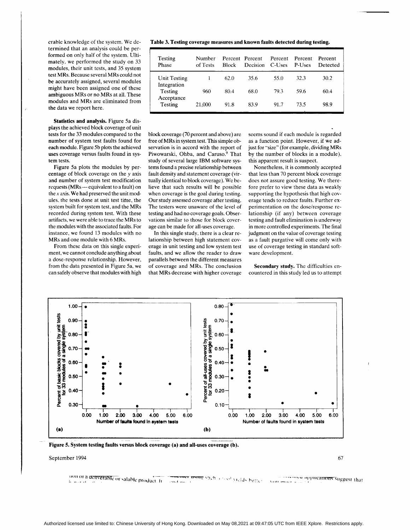<span id="page-7-0"></span>erable knowledge of the system. We determined that an analysis could be performed on only half of the system. Ultimately. we performed the study on 33 modules, their unit tests, and 35 system test MRs. Because several MRs could not be accurately assigned, several modules might have been assigned one of these ambiguous MRs or no MRs at all. These modules and MRs are eliminated from the data we report here.

**Statistics and analysis.** Figure 5a displays the achieved block coverage of unit tests for the 33 modules compared to the number of system test faults found for each module. Figure 5b plots the achieved uses coverage versus faults found in **sys**tem tests.

Figure 5a plots the modules by percentage of block coverage on the *y* axis and number of system test modification requests (MRs - equivalent to a fault) on the  $x$  axis. We had preserved the unit modules. the tests done at unit test time, the system built for system test, and the MRs recorded during system test. With these artifacts, we were able to trace the MRs to the modules with the associated faults. For instance, we found 13 modules with no MRs and one module with 6 MRs.

From these data on this single experiment, we cannot conclude anything about a dose-response relationship. However, from the data presented in Figure 5a, we can safely observe that modules with high

**Table 3. Testing coverage measures and known faults detected during testing.** 

| Testing<br>Phase       | Number<br>of Tests | <b>Block</b> | Percent Percent<br><b>Decision</b> | Percent<br>C-Uses | Percent<br>P-Uses | Percent<br>Detected |
|------------------------|--------------------|--------------|------------------------------------|-------------------|-------------------|---------------------|
| <b>Unit Testing</b>    |                    | 62.0         | 35.6                               | 55.0              | 32.3              | 30.2                |
| Integration<br>Testing | 960                | 80.4         | 68.0                               | 79.3              | 59.6              | 60.4                |
| Acceptance<br>Testing  | 21,000             | 91.8         | 83.9                               | 91.7              | 73.5              | 98.9                |

block coverage (70 percent and above) are free of MRs in system test. This simple observation is in accord with the report of Piwowarski, Ohba, and Caruso.<sup>9</sup> That study of several large IBM software systems found a precise relationship between fault density and statement coverage (virtually identical to block coverage). We believe that such results will be possible when coverage is the goal during testing. Our study assessed coverage after testing. The testers were unaware of the level of testing and had no coverage goals. Observations similar to those for block coverage can be made for all-uses coverage.

In this single study, there is a clear relationship between high statement coverage in unit testing and low system test faults, and we allow the reader to draw parallels between the different measures of coverage and MRs. The conclusion that MRs decrease with higher coverage

seems sound if each module is regarded as a function point. However, if we adjust for "size" (for example, dividing MRs by the number of blocks in a module). this apparent result is suspect.

Nonetheless, it is commonly accepted that less than 70 percent block coverage does not assure good testing. We therefore prefer to view these data as weakly supporting the hypothesis that high coverage tends to reduce faults. Further experimentation on the dose/response relationship (if any) between coverage testing and fault elimination is underway in more controlled experiments. The final judgment on the value of coverage testing as a fault purgative will come only with use of coverage testing in standard software development.

**Secondary study.** The difficulties encountered in this study led us to attempt



**Figure 5. System testing faults versus block coverage (a) and all-uses coverage (b).** 

September 1994 67

non or a defiverable or salable product. It <del>mer using</del> stich a haol yields better."<br>http:// memo applications suggest that Anti-music something and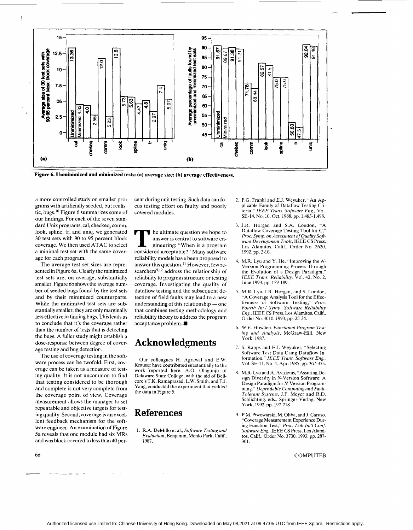

**Figure 6. Unminimized and minimized tests: (a) average size; (b) average effectiveness.** 

a more controlled study on smaller programs with artificially seeded, but realistic, bugs.1° Figure 6 summarizes some of our findings. For each of the seven standard Unix programs, cal, checkeq, comm, **look,** spline, tr, and uniq, we generated **30** test sets with 90 to 95 percent block coverage. We then used ATAC to select a minimal test set with the same coverage for each program.

*I* 

The average test set sizes are represented in Figure 6a. Clearly the minimized test sets are, on average, substantially smaller. Figure 6b shows the average number of seeded bugs found by the test sets and by their minimized counterparts. While the minimized test sets are substantially smaller, they are only marginally less effective in finding bugs. This leads us to conclude that it's the coverage rather than the number of tests that is detecting the bugs. A fuller study might establish a dose-response between degree of coverage testing and bug detection.

The use of coverage testing in the software process can be twofold. First, coverage can be taken as a measure of testing quality. It is not uncommon to find that testing considered to be thorough and complete is not very complete from the coverage point of view. Coverage measurement allows the manager to set repeatable and objective targets for testing quality. Second, coverage is an excellent feedback mechanism for the software engineer. An examination of Figure 5a reveals that one module had six MRs and was block covered to less than 40 percent during unit testing. Such data can fo- 2. P.G. Frank1 and E.J. Weyuker, "An Apcus testing effort on faulty and poorly covered modules.

he ultimate question we hope to answer is central to software engineering: "When is a program considered acceptable?" Many software reliability models have been proposed to answer this question.<sup>11</sup> However, few researchers<sup>9,12</sup> address the relationship of reliability to program structure or testing coverage. Investigating the quality of dataflow testing and the subsequent detection of field faults mav lead to a new understanding of this relationship - one that combines testing methodology and reliability theory to address the program acceptance problem. **W** 

# **Acknowledgments** York, 1987.<br>7. S. Rapps and E.J. Weyuker, "Selecting

Our colleagues H. Agrawal and E.W. <sup>formation,"</sup> *IEEE Trans. Software Eng.*<br>Failser have contributed substantially to the Vol. SE-11, No. 4, Apr. 1985, pp. 367-375 Krauser have contributed substantially to the<br>work 'reported here. A.O. Olagunju of work reported here. A.O. Olagunju of 8, M,R. Lyu and A. Avizienis, "Assuring De-<br>Delaware State College, with the aid of Bell-<br>sion Diversity in N-Version Software: A core's T.K. Ramaprasad, L.W. Smith, and E.I. Yang, conducted the experiment that yielded the data in [Figure 5.](#page-7-0)

1. R.A. DeMillo et al., *Software Testing and Evaluation,* Benjamin, Menlo Park, Calif.. 1987. 301.

- plicable Family of Dataflow Testing Criteria." *IEEE Trans. Software Eng.,* Vol. SE-14. No. 10, Oct. 1988, pp. 1,483-1,498.
- 3. J.R. Horgan and S.A. London, "A Dataflow Coverage Testing Tool for C," *Proc. Symp. on Assessment of Quality Software Development Tools,* IEEE CS Press, Los Alamitos. Calif., Order No. 2620, 1992, pp. 2-10.
- 4. M.R. Lyu and Y. He, "Improving the *N-*Version Programming Process Through the Evolution of a Design Paradigm," *IEEE Trans. Reliability.* Vol. *42. No.* 2, June 1993, pp. 179-189.
- *5.* M.R. Lyu. J.R. Horgan, and **S.** London, "A Coverage Analysis Tool for the Effec-<br>tiveness of Software Testing," Proc. Proc. Fourth Int'l Symp. Software Reliability Eng., IEEE CS Press, Los Alamitos, Calif., Order No. 4010, 1993, pp. 25-34.
- 6. W.E. Howden, *Functional Program Tesrinz and Analvsis.* McGraw-Hill. New
- Software Test Data Using Dataflow Information." *IEEE Trans. Software Eng.,*
- sign Diversity in N-Version Software: A Design Paradigm for N-Version Programming," Dependable Computing and Fault-*Tolerant Systems, J.F.* Mever and R.D. Schlichting, eds.. Springer:Verlag, New York, 1992, pp. 197-218.
- **References** 9. P.M. Piwowarski, M. Ohba, and J. Caruso, "Coverage Measurement Experience During Function Test," *Proc. 15th Int'l Conj Software Eng.,* IEEE CS Press, Los Alamitos, Calif., Order No. 3700,1993, pp. 287-